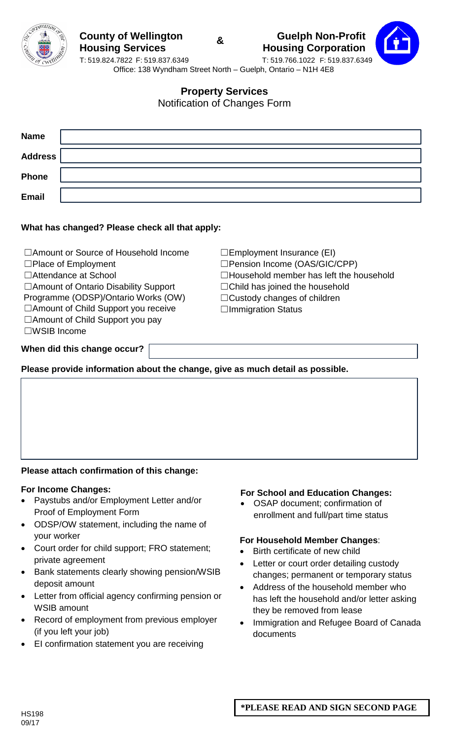





**Property Services**

Notification of Changes Form

| <b>Name</b>    |  |
|----------------|--|
| <b>Address</b> |  |
| <b>Phone</b>   |  |
| <b>Email</b>   |  |

## **What has changed? Please check all that apply:**

| □ Amount or Source of Household Income | $\square$ Employment Insurance (EI)            |  |  |  |  |
|----------------------------------------|------------------------------------------------|--|--|--|--|
| $\Box$ Place of Employment             | □Pension Income (OAS/GIC/CPP)                  |  |  |  |  |
| □ Attendance at School                 | $\Box$ Household member has left the household |  |  |  |  |
| □ Amount of Ontario Disability Support | $\Box$ Child has joined the household          |  |  |  |  |
| Programme (ODSP)/Ontario Works (OW)    | $\Box$ Custody changes of children             |  |  |  |  |
| □ Amount of Child Support you receive  | $\Box$ Immigration Status                      |  |  |  |  |
| $\Box$ Amount of Child Support you pay |                                                |  |  |  |  |
| $\square$ WSIB Income                  |                                                |  |  |  |  |
|                                        |                                                |  |  |  |  |
| When did this change occur?            |                                                |  |  |  |  |

**Please provide information about the change, give as much detail as possible.**

# **Please attach confirmation of this change:**

### **For Income Changes:**

- Paystubs and/or Employment Letter and/or Proof of Employment Form
- ODSP/OW statement, including the name of your worker
- Court order for child support; FRO statement; private agreement
- Bank statements clearly showing pension/WSIB deposit amount
- Letter from official agency confirming pension or WSIB amount
- Record of employment from previous employer (if you left your job)
- EI confirmation statement you are receiving

### **For School and Education Changes:**

• OSAP document; confirmation of enrollment and full/part time status

### **For Household Member Changes**:

- Birth certificate of new child
- Letter or court order detailing custody changes; permanent or temporary status
- Address of the household member who has left the household and/or letter asking they be removed from lease
- Immigration and Refugee Board of Canada documents